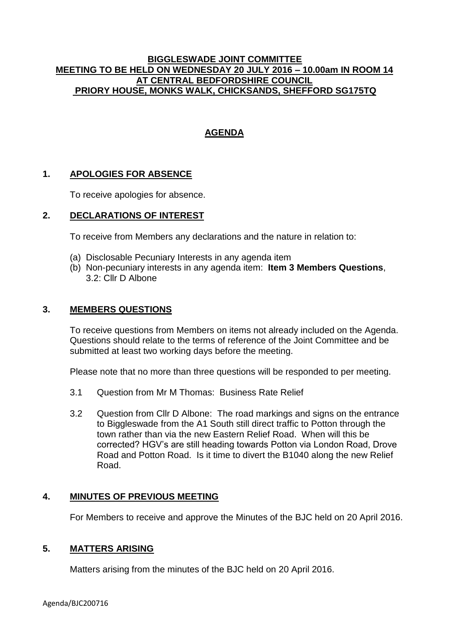### **BIGGLESWADE JOINT COMMITTEE MEETING TO BE HELD ON WEDNESDAY 20 JULY 2016 – 10.00am IN ROOM 14 AT CENTRAL BEDFORDSHIRE COUNCIL PRIORY HOUSE, MONKS WALK, CHICKSANDS, SHEFFORD SG175TQ**

# **AGENDA**

## **1. APOLOGIES FOR ABSENCE**

To receive apologies for absence.

### **2. DECLARATIONS OF INTEREST**

To receive from Members any declarations and the nature in relation to:

- (a) Disclosable Pecuniary Interests in any agenda item
- (b) Non-pecuniary interests in any agenda item: **Item 3 Members Questions**, 3.2: Cllr D Albone

#### **3. MEMBERS QUESTIONS**

To receive questions from Members on items not already included on the Agenda. Questions should relate to the terms of reference of the Joint Committee and be submitted at least two working days before the meeting.

Please note that no more than three questions will be responded to per meeting.

- 3.1 Question from Mr M Thomas: Business Rate Relief
- 3.2 Question from Cllr D Albone: The road markings and signs on the entrance to Biggleswade from the A1 South still direct traffic to Potton through the town rather than via the new Eastern Relief Road. When will this be corrected? HGV's are still heading towards Potton via London Road, Drove Road and Potton Road. Is it time to divert the B1040 along the new Relief Road.

#### **4. MINUTES OF PREVIOUS MEETING**

For Members to receive and approve the Minutes of the BJC held on 20 April 2016.

#### **5. MATTERS ARISING**

Matters arising from the minutes of the BJC held on 20 April 2016.